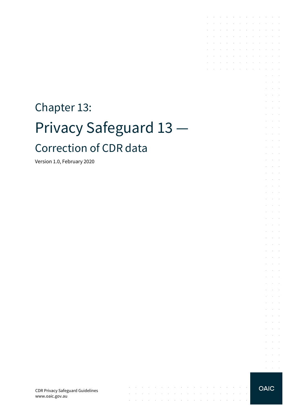# Chapter 13: Privacy Safeguard 13 — Correction of CDR data

Version 1.0, February 2020

CDR Privacy Safeguard Guidelines www.oaic.gov.au

 $\mathcal{A}$  is a set of the set of the set of the set of the set of  $\mathcal{A}$ 

 $\sim$ 

 $\mathcal{A}$  . The contribution of the contribution of the contribution of the contribution of

the contract of the contract of the contract of

 $\sim$ 

 $\sim$  $\sim$ 

**Carl Carl** 



the contract of the contract of the contract of

and the contract of the contract of the

 $\sim$  $\mathcal{L}_{\rm{max}}$  .  $\sim$ 

 $\sim 10^{-1}$ 

 $\sim$  $\sim$ and a state

t,  $\alpha$  ,  $\beta$  ,  $\alpha$ 

 $\mathcal{L}^{\mathcal{L}}$  $\Delta \sim 100$ 

 $\mathcal{L}$  $\alpha$  and  $\alpha$  $\Delta\sim 10$  $\sim$ 

÷  $\mathcal{L}^{\mathcal{A}}$  $\mathcal{L}^{\mathcal{L}}$ - 1

 $\mathcal{L}$  $\mathcal{L}^{\text{max}}$  $\sim$  $\mathcal{L}_{\mathcal{A}}$  $\sim$  $\sim 10^{-1}$  .

 $\mathcal{L}$  $\alpha$  ,  $\beta$  ,  $\alpha$  $\Delta \sim 10^4$ 

V.  $\mathcal{L}$  $\sim$ **Service**  $\mathcal{L}^{\text{max}}$ 

 $\bar{z}$  $\sim$  $\sim 10^{-10}$  km

 $\mathcal{L}^{\mathcal{L}}$  $\mathcal{A}^{\mathcal{A}}$  and  $\mathcal{A}^{\mathcal{A}}$ 

 $\sim$  $\sim 10^{-11}$  .  $\mathcal{L}^{\text{max}}$  and  $\mathcal{L}^{\text{max}}$ 

 $\mathcal{L}$ **Service** 

 $\sim$ **Contract** 

 $\mathcal{L}^{\mathcal{L}}$  $\alpha$  and  $\alpha$ 

 $\sim$  $\mathcal{L}^{\text{max}}$  .

 $\mathcal{L}$  $\sim 10^{-11}$ and a state

J.  $\sim$  $\sim$  $\sim$ 

 $\mathcal{L}$  $\sim$ **Service** State  $\alpha = 1, \ldots, n$ 

 $\mathcal{A}$  . The contribution of the contribution of  $\mathcal{A}$ 

the control of the control of

the contract of the contract of the  $\mathcal{L}^{\mathcal{A}}$  . The set of the set of the set of the set of  $\mathcal{L}^{\mathcal{A}}$ 

 $\mathcal{L}_{\rm{max}}$  .

 $\mathcal{L}^{\mathcal{A}}$  . The contribution of the contribution of the contribution of and the contract of the con-

 $\mathcal{L}$  $\sim$ 

> $\sim$  $\bar{z}$  $\sim$

s.

÷.  $\sim$ 

t.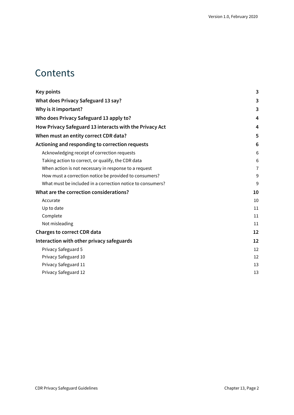## **Contents**

| <b>Key points</b>                                          | 3              |
|------------------------------------------------------------|----------------|
| What does Privacy Safeguard 13 say?                        | 3              |
| Why is it important?                                       | 3              |
| Who does Privacy Safeguard 13 apply to?                    | 4              |
| How Privacy Safeguard 13 interacts with the Privacy Act    | 4              |
| When must an entity correct CDR data?                      | 5              |
| Actioning and responding to correction requests            | 6              |
| Acknowledging receipt of correction requests               | 6              |
| Taking action to correct, or qualify, the CDR data         | 6              |
| When action is not necessary in response to a request      | $\overline{7}$ |
| How must a correction notice be provided to consumers?     | 9              |
| What must be included in a correction notice to consumers? | 9              |
| What are the correction considerations?                    | 10             |
| Accurate                                                   | 10             |
| Up to date                                                 | 11             |
| Complete                                                   | 11             |
| Not misleading                                             | 11             |
| <b>Charges to correct CDR data</b>                         | 12             |
| Interaction with other privacy safeguards                  | 12             |
| Privacy Safeguard 5                                        | 12             |
| Privacy Safeguard 10                                       | 12             |
| Privacy Safeguard 11                                       | 13             |
| Privacy Safeguard 12                                       | 13             |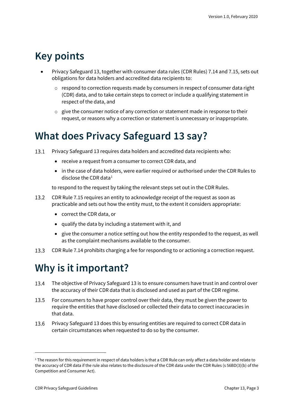## <span id="page-2-0"></span>**Key points**

- Privacy Safeguard 13, together with consumer data rules (CDR Rules) 7.14 and 7.15, sets out obligations for data holders and accredited data recipients to:
	- $\circ$  respond to correction requests made by consumers in respect of consumer data right (CDR) data, and to take certain steps to correct or include a qualifying statement in respect of the data, and
	- $\circ$  give the consumer notice of any correction or statement made in response to their request, or reasons why a correction or statement is unnecessary or inappropriate.

# <span id="page-2-1"></span>**What does Privacy Safeguard 13 say?**

- Privacy Safeguard 13 requires data holders and accredited data recipients who: 13.1
	- receive a request from a consumer to correct CDR data, and
	- in the case of data holders, were earlier required or authorised under the CDR Rules to disclose the CDR data $1$

to respond to the request by taking the relevant steps set out in the CDR Rules.

- $13.2$ CDR Rule 7.15 requires an entity to acknowledge receipt of the request as soon as practicable and sets out how the entity must, to the extent it considers appropriate:
	- correct the CDR data, or
	- qualify the data by including a statement with it, and
	- give the consumer a notice setting out how the entity responded to the request, as well as the complaint mechanisms available to the consumer.
- CDR Rule 7.14 prohibits charging a fee for responding to or actioning a correction request.

# <span id="page-2-2"></span>**Why is it important?**

- 13.4 The objective of Privacy Safeguard 13 is to ensure consumers have trust in and control over the accuracy of their CDR data that is disclosed and used as part of the CDR regime.
- $13.5$ For consumers to have proper control over their data, they must be given the power to require the entities that have disclosed or collected their data to correct inaccuracies in that data.
- 13.6 Privacy Safeguard 13 does this by ensuring entities are required to correct CDR data in certain circumstances when requested to do so by the consumer.

<span id="page-2-3"></span><sup>&</sup>lt;sup>1</sup> The reason for this requirement in respect of data holders is that a CDR Rule can only affect a data holder and relate to the accuracy of CDR data if the rule also relates to the disclosure of the CDR data under the CDR Rules (s 56BD(3)(b) of the Competition and Consumer Act).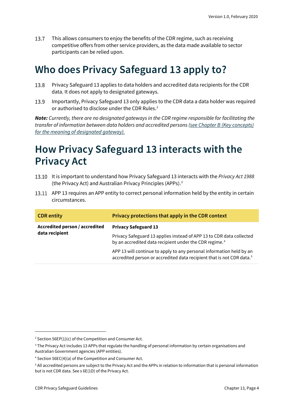This allows consumers to enjoy the benefits of the CDR regime, such as receiving 13.7 competitive offers from other service providers, as the data made available to sector participants can be relied upon.

## <span id="page-3-0"></span>**Who does Privacy Safeguard 13 apply to?**

- Privacy Safeguard 13 applies to data holders and accredited data recipients for the CDR 13.8 data. It does not apply to designated gateways.
- Importantly, Privacy Safeguard 13 only applies to the CDR data a data holder was required 13.9 or authorised to disclose under the CDR Rules.[2](#page-3-2)

*Note: Currently, there are no designated gateways in the CDR regime responsible for facilitating the transfer of information between data holders and accredited persons [\(see Chapter B \(Key concepts\)](https://www.oaic.gov.au/consumer-data-right/cdr-privacy-safeguard-guidelines/chapter-b-key-concepts)  [for the meaning of designated gateway\).](https://www.oaic.gov.au/consumer-data-right/cdr-privacy-safeguard-guidelines/chapter-b-key-concepts)*

## <span id="page-3-1"></span>**How Privacy Safeguard 13 interacts with the Privacy Act**

- 13.10 It is important to understand how Privacy Safeguard 13 interacts with the *Privacy Act 1988* (the Privacy Act) and Australian Privacy Principles (APPs).[3](#page-3-3)
- APP 13 requires an APP entity to correct personal information held by the entity in certain circumstances.

| <b>CDR</b> entity                                | Privacy protections that apply in the CDR context                                                                                                         |
|--------------------------------------------------|-----------------------------------------------------------------------------------------------------------------------------------------------------------|
| Accredited person / accredited<br>data recipient | <b>Privacy Safeguard 13</b>                                                                                                                               |
|                                                  | Privacy Safeguard 13 applies instead of APP 13 to CDR data collected<br>by an accredited data recipient under the CDR regime. <sup>4</sup>                |
|                                                  | APP 13 will continue to apply to any personal information held by an<br>accredited person or accredited data recipient that is not CDR data. <sup>5</sup> |

<span id="page-3-2"></span><sup>&</sup>lt;sup>2</sup> Section 56EP(1)(c) of the Competition and Consumer Act.

<span id="page-3-3"></span><sup>&</sup>lt;sup>3</sup> The Privacy Act includes 13 APPs that regulate the handling of personal information by certain organisations and Australian Government agencies (APP entities).

<span id="page-3-4"></span><sup>4</sup> Section 56EC(4)(a) of the Competition and Consumer Act.

<span id="page-3-5"></span><sup>5</sup> All accredited persons are subject to the Privacy Act and the APPs in relation to information that is personal information but is not CDR data. See s 6E(1D) of the Privacy Act.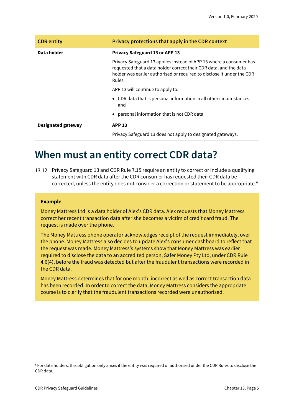| <b>CDR</b> entity         | Privacy protections that apply in the CDR context                                                                                                                                                                            |
|---------------------------|------------------------------------------------------------------------------------------------------------------------------------------------------------------------------------------------------------------------------|
| Data holder               | <b>Privacy Safeguard 13 or APP 13</b>                                                                                                                                                                                        |
|                           | Privacy Safeguard 13 applies instead of APP 13 where a consumer has<br>requested that a data holder correct their CDR data, and the data<br>holder was earlier authorised or required to disclose it under the CDR<br>Rules. |
|                           | APP 13 will continue to apply to:                                                                                                                                                                                            |
|                           | • CDR data that is personal information in all other circumstances,<br>and                                                                                                                                                   |
|                           | • personal information that is not CDR data.                                                                                                                                                                                 |
| <b>Designated gateway</b> | <b>APP 13</b>                                                                                                                                                                                                                |
|                           | Privacy Safeguard 13 does not apply to designated gateways.                                                                                                                                                                  |

## <span id="page-4-0"></span>**When must an entity correct CDR data?**

13.12 Privacy Safeguard 13 and CDR Rule 7.15 require an entity to correct or include a qualifying statement with CDR data after the CDR consumer has requested their CDR data be corrected, unless the entity does not consider a correction or statement to be appropriate.<sup>[6](#page-4-1)</sup>

#### **Example**

Money Mattress Ltd is a data holder of Alex's CDR data. Alex requests that Money Mattress correct her recent transaction data after she becomes a victim of credit card fraud. The request is made over the phone.

The Money Mattress phone operator acknowledges receipt of the request immediately, over the phone. Money Mattress also decides to update Alex's consumer dashboard to reflect that the request was made. Money Mattress's systems show that Money Mattress was earlier required to disclose the data to an accredited person, Safer Money Pty Ltd, under CDR Rule 4.6(4), before the fraud was detected but after the fraudulent transactions were recorded in the CDR data.

Money Mattress determines that for one month, incorrect as well as correct transaction data has been recorded. In order to correct the data, Money Mattress considers the appropriate course is to clarify that the fraudulent transactions recorded were unauthorised.

<span id="page-4-1"></span><sup>6</sup> For data holders, this obligation only arises if the entity was required or authorised under the CDR Rules to disclose the CDR data.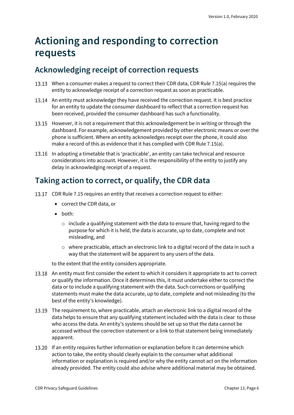# <span id="page-5-0"></span>**Actioning and responding to correction requests**

## <span id="page-5-1"></span>**Acknowledging receipt of correction requests**

- 13.13 When a consumer makes a request to correct their CDR data, CDR Rule 7.15(a) requires the entity to acknowledge receipt of a correction request as soon as practicable.
- 13.14 An entity must acknowledge they have received the correction request. It is best practice for an entity to update the consumer dashboard to reflect that a correction request has been received, provided the consumer dashboard has such a functionality.
- 13.15 However, it is not a requirement that this acknowledgement be in writing or through the dashboard. For example, acknowledgement provided by other electronic means or over the phone is sufficient. Where an entity acknowledges receipt over the phone, it could also make a record of this as evidence that it has complied with CDR Rule 7.15(a).
- 13.16 In adopting a timetable that is 'practicable', an entity can take technical and resource considerations into account. However, it is the responsibility of the entity to justify any delay in acknowledging receipt of a request.

## <span id="page-5-2"></span>**Taking action to correct, or qualify, the CDR data**

- 13.17 CDR Rule 7.15 requires an entity that receives a correction request to either:
	- correct the CDR data, or
	- both:
		- $\circ$  include a qualifying statement with the data to ensure that, having regard to the purpose for which it is held, the data is accurate, up to date, complete and not misleading, and
		- o where practicable, attach an electronic link to a digital record of the data in such a way that the statement will be apparent to any users of the data.

to the extent that the entity considers appropriate.

- 13.18 An entity must first consider the extent to which it considers it appropriate to act to correct or qualify the information. Once it determines this, it must undertake either to correct the data or to include a qualifying statement with the data. Such corrections or qualifying statements must make the data accurate, up to date, complete and not misleading (to the best of the entity's knowledge).
- 13.19 The requirement to, where practicable, attach an electronic link to a digital record of the data helps to ensure that any qualifying statement included with the data is clear to those who access the data. An entity's systems should be set up so that the data cannot be accessed without the correction statement or a link to that statement being immediately apparent.
- 13.20 If an entity requires further information or explanation before it can determine which action to take, the entity should clearly explain to the consumer what additional information or explanation is required and/or why the entity cannot act on the information already provided. The entity could also advise where additional material may be obtained.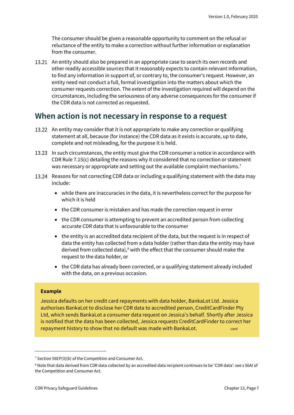The consumer should be given a reasonable opportunity to comment on the refusal or reluctance of the entity to make a correction without further information or explanation from the consumer.

13.21 An entity should also be prepared in an appropriate case to search its own records and other readily accessible sources that it reasonably expects to contain relevant information, to find any information in support of, or contrary to, the consumer's request. However, an entity need not conduct a full, formal investigation into the matters about which the consumer requests correction. The extent of the investigation required will depend on the circumstances, including the seriousness of any adverse consequences for the consumer if the CDR data is not corrected as requested.

#### <span id="page-6-0"></span>**When action is not necessary in response to a request**

- 13.22 An entity may consider that it is not appropriate to make any correction or qualifying statement at all, because (for instance) the CDR data as it exists is accurate, up to date, complete and not misleading, for the purpose it is held.
- 13.23 In such circumstances, the entity must give the CDR consumer a notice in accordance with CDR Rule 7.15(c) detailing the reasons why it considered that no correction or statement was necessary or appropriate and setting out the available complaint mechanisms.<sup>7</sup>
- 13.24 Reasons for not correcting CDR data or including a qualifying statement with the data may include:
	- while there are inaccuracies in the data, it is nevertheless correct for the purpose for which it is held
	- the CDR consumer is mistaken and has made the correction request in error
	- the CDR consumer is attempting to prevent an accredited person from collecting accurate CDR data that is unfavourable to the consumer
	- the entity is an accredited data recipient of the data, but the request is in respect of data the entity has collected from a data holder (rather than data the entity may have derived from collected data), [8](#page-6-2) with the effect that the consumer should make the request to the data holder, or
	- the CDR data has already been corrected, or a qualifying statement already included with the data, on a previous occasion.

#### **Example**

Jessica defaults on her credit card repayments with data holder, BankaLot Ltd. Jessica authorises BankaLot to disclose her CDR data to accredited person, CreditCardFinder Pty Ltd, which sends BankaLot a consumer data request on Jessica's behalf. Shortly after Jessica is notified that the data has been collected, Jessica requests CreditCardFinder to correct her repayment history to show that no default was made with BankaLot. *cont*

<span id="page-6-1"></span><sup>&</sup>lt;sup>7</sup> Section 56EP(3)(b) of the Competition and Consumer Act.

<span id="page-6-2"></span><sup>8</sup> Note that data derived from CDR data collected by an accredited data recipient continues to be 'CDR data': see s 56AI of the Competition and Consumer Act.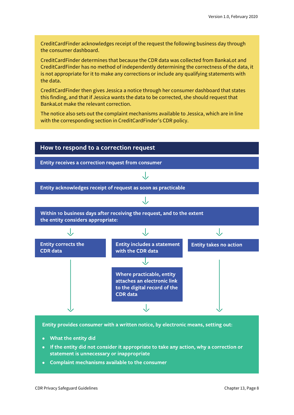CreditCardFinder acknowledges receipt of the request the following business day through the consumer dashboard.

CreditCardFinder determines that because the CDR data was collected from BankaLot and CreditCardFinder has no method of independently determining the correctness of the data, it is not appropriate for it to make any corrections or include any qualifying statements with the data.

CreditCardFinder then gives Jessica a notice through her consumer dashboard that states this finding, and that if Jessica wants the data to be corrected, she should request that BankaLot make the relevant correction.

The notice also sets out the complaint mechanisms available to Jessica, which are in line with the corresponding section in CreditCardFinder's CDR policy.



- What the entity did
- If the entity did not consider it appropriate to take any action, why a correction or statement is unnecessary or inappropriate
- Complaint mechanisms available to the consumer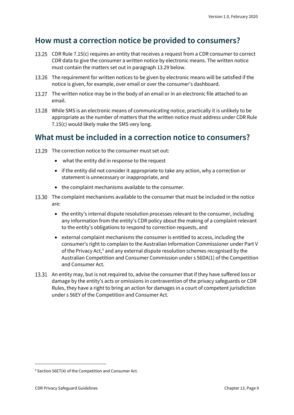## <span id="page-8-0"></span>**How must a correction notice be provided to consumers?**

- 13.25 CDR Rule 7.15(c) requires an entity that receives a request from a CDR consumer to correct CDR data to give the consumer a written notice by electronic means. The written notice must contain the matters set out in paragraph 13.29 below.
- 13.26 The requirement for written notices to be given by electronic means will be satisfied if the notice is given, for example, over email or over the consumer's dashboard.
- 13.27 The written notice may be in the body of an email or in an electronic file attached to an email.
- While SMS is an electronic means of communicating notice, practically it is unlikely to be appropriate as the number of matters that the written notice must address under CDR Rule 7.15(c) would likely make the SMS very long.

#### <span id="page-8-1"></span>**What must be included in a correction notice to consumers?**

- 13.29 The correction notice to the consumer must set out:
	- what the entity did in response to the request
	- if the entity did not consider it appropriate to take any action, why a correction or statement is unnecessary or inappropriate, and
	- the complaint mechanisms available to the consumer.
- The complaint mechanisms available to the consumer that must be included in the notice are:
	- the entity's internal dispute resolution processes relevant to the consumer, including any information from the entity's CDR policy about the making of a complaint relevant to the entity's obligations to respond to correction requests, and
	- external complaint mechanisms the consumer is entitled to access, including the consumer's right to complain to the Australian Information Commissioner under Part V of the Privacy Act, $9$  and any external dispute resolution schemes recognised by the Australian Competition and Consumer Commission under s 56DA(1) of the Competition and Consumer Act.
- 13.31 An entity may, but is not required to, advise the consumer that if they have suffered loss or damage by the entity's acts or omissions in contravention of the privacy safeguards or CDR Rules, they have a right to bring an action for damages in a court of competent jurisdiction under s 56EY of the Competition and Consumer Act.

<span id="page-8-2"></span><sup>9</sup> Section 56ET(4) of the Competition and Consumer Act.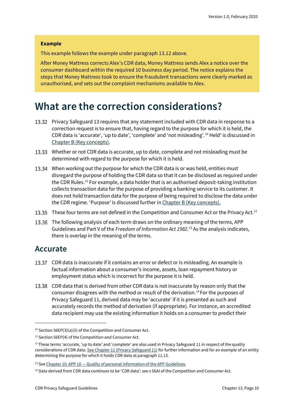#### **Example**

This example follows the example under paragraph 13.12 above.

After Money Mattress corrects Alex's CDR data, Money Mattress sends Alex a notice over the consumer dashboard within the required 10 business day period. The notice explains the steps that Money Mattress took to ensure the fraudulent transactions were clearly marked as unauthorised, and sets out the complaint mechanisms available to Alex.

## <span id="page-9-0"></span>**What are the correction considerations?**

- Privacy Safeguard 13 requires that any statement included with CDR data in response to a correction request is to ensure that, having regard to the purpose for which it is held, the CDR data is 'accurate', 'up to date', 'complete' and 'not misleading'.[10](#page-9-2) Held' is discussed in [Chapter B \(Key concepts\).](https://www.oaic.gov.au/consumer-data-right/cdr-privacy-safeguard-guidelines/chapter-b-key-concepts)
- Whether or not CDR data is accurate, up to date, complete and not misleading must be determined with regard to the purpose for which it is held.
- 13.34 When working out the purpose for which the CDR data is or was held, entities must disregard the purpose of holding the CDR data so that it can be disclosed as required under the CDR Rules.<sup>[11](#page-9-3)</sup> For example, a data holder that is an authorised deposit-taking institution collects transaction data for the purpose of providing a banking service to its customer. It does not hold transaction data for the purpose of being required to disclose the data under the CDR regime. 'Purpose' is discussed further i[n Chapter B \(Key concepts\).](https://www.oaic.gov.au/consumer-data-right/cdr-privacy-safeguard-guidelines/chapter-b-key-concepts)
- These four terms are not defined in the Competition and Consumer Act or the Privacy Act.<sup>[12](#page-9-4)</sup>
- 13.36 The following analysis of each term draws on the ordinary meaning of the terms, APP Guidelines and Part V of the *Freedom of Information Act 1982*. [13](#page-9-5) As the analysis indicates, there is overlap in the meaning of the terms.

#### <span id="page-9-1"></span>**Accurate**

- CDR data is inaccurate if it contains an error or defect or is misleading. An example is factual information about a consumer's income, assets, loan repayment history or employment status which is incorrect for the purpose it is held.
- 13.38 CDR data that is derived from other CDR data is not inaccurate by reason only that the consumer disagrees with the method or result of the derivation.[14](#page-9-6) For the purposes of Privacy Safeguard 11, derived data may be 'accurate' if it is presented as such and accurately records the method of derivation (if appropriate). For instance, an accredited data recipient may use the existing information it holds on a consumer to predict their

<span id="page-9-2"></span> $10$  Section 56EP(3)(a)(ii) of the Competition and Consumer Act.

<span id="page-9-3"></span><sup>&</sup>lt;sup>11</sup> Section 56EP(4) of the Competition and Consumer Act.

<span id="page-9-4"></span> $12$  These terms 'accurate, 'up to date' and 'complete' are also used in Privacy Safeguard 11 in respect of the quality considerations of CDR data[. See Chapter 11 \(Privacy Safeguard 11\)](https://www.oaic.gov.au/consumer-data-right/cdr-privacy-safeguard-guidelines/chapter-11-privacy-safeguard-11-quality-of-cdr-data) for further information and for an example of an entity determining the purpose for which it holds CDR data at paragraph 11.13.

<span id="page-9-5"></span> $13$  See Chapter 10: APP 10 - [Quality of personal information of the APP Guidelines.](https://www.oaic.gov.au/privacy/australian-privacy-principles-guidelines/chapter-10-app-10-quality-of-personal-information/)

<span id="page-9-6"></span><sup>&</sup>lt;sup>14</sup> Data derived from CDR data continues to be 'CDR data': see s 56AI of the Competition and Consumer Act.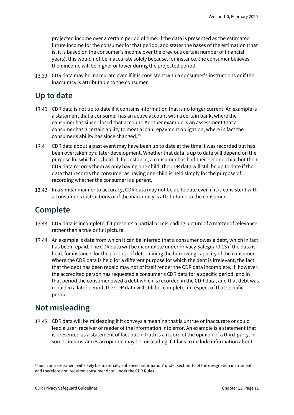projected income over a certain period of time. If the data is presented as the estimated future income for the consumer for that period, and states the bases of the estimation (that is, it is based on the consumer's income over the previous certain number of financial years), this would not be inaccurate solely because, for instance, the consumer believes their income will be higher or lower during the projected period.

CDR data may be inaccurate even if it is consistent with a consumer's instructions or if the inaccuracy is attributable to the consumer.

#### <span id="page-10-0"></span>**Up to date**

- 13.40 CDR data is not up to date if it contains information that is no longer current. An example is a statement that a consumer has an active account with a certain bank, where the consumer has since closed that account. Another example is an assessment that a consumer has a certain ability to meet a loan repayment obligation, where in fact the consumer's ability has since changed.[15](#page-10-3)
- 13.41 CDR data about a past event may have been up to date at the time it was recorded but has been overtaken by a later development. Whether that data is up to date will depend on the purpose for which it is held. If, for instance, a consumer has had their second child but their CDR data records them as only having one child, the CDR data will still be up to date if the data that records the consumer as having one child is held simply for the purpose of recording whether the consumer is a parent.
- 13.42 In a similar manner to accuracy, CDR data may not be up to date even if it is consistent with a consumer's instructions or if the inaccuracy is attributable to the consumer.

## <span id="page-10-1"></span>**Complete**

- CDR data is incomplete if it presents a partial or misleading picture of a matter of relevance, rather than a true or full picture.
- 13.44 An example is data from which it can be inferred that a consumer owes a debt, which in fact has been repaid. The CDR data will be incomplete under Privacy Safeguard 13 if the data is held, for instance, for the purpose of determining the borrowing capacity of the consumer. Where the CDR data is held for a different purpose for which the debt is irrelevant, the fact that the debt has been repaid may not of itself render the CDR data incomplete. If, however, the accredited person has requested a consumer's CDR data for a specific period, and in that period the consumer owed a debt which is recorded in the CDR data, and that debt was repaid in a later period, the CDR data will still be 'complete' in respect of that specific period.

#### <span id="page-10-2"></span>**Not misleading**

CDR data will be misleading if it conveys a meaning that is untrue or inaccurate or could lead a user, receiver or reader of the information into error. An example is a statement that is presented as a statement of fact but in truth is a record of the opinion of a third-party. In some circumstances an opinion may be misleading if it fails to include information about

<span id="page-10-3"></span><sup>15</sup> Such an assessment will likely be 'materially enhanced information' under section 10 of the designation instrument and therefore not 'required consumer data' under the CDR Rules.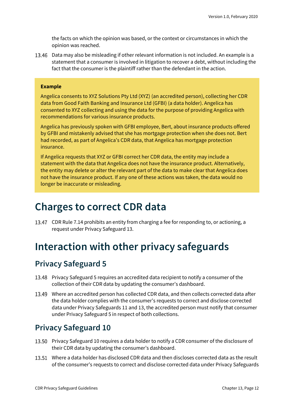the facts on which the opinion was based, or the context or circumstances in which the opinion was reached.

13.46 Data may also be misleading if other relevant information is not included. An example is a statement that a consumer is involved in litigation to recover a debt, without including the fact that the consumer is the plaintiff rather than the defendant in the action.

#### **Example**

Angelica consents to XYZ Solutions Pty Ltd (XYZ) (an accredited person), collecting her CDR data from Good Faith Banking and Insurance Ltd (GFBI) (a data holder). Angelica has consented to XYZ collecting and using the data for the purpose of providing Angelica with recommendations for various insurance products.

Angelica has previously spoken with GFBI employee, Bert, about insurance products offered by GFBI and mistakenly advised that she has mortgage protection when she does not. Bert had recorded, as part of Angelica's CDR data, that Angelica has mortgage protection insurance.

If Angelica requests that XYZ or GFBI correct her CDR data, the entity may include a statement with the data that Angelica does not have the insurance product. Alternatively, the entity may delete or alter the relevant part of the data to make clear that Angelica does not have the insurance product. If any one of these actions was taken, the data would no longer be inaccurate or misleading.

## <span id="page-11-0"></span>**Charges to correct CDR data**

13.47 CDR Rule 7.14 prohibits an entity from charging a fee for responding to, or actioning, a request under Privacy Safeguard 13.

## <span id="page-11-1"></span>**Interaction with other privacy safeguards**

#### <span id="page-11-2"></span>**Privacy Safeguard 5**

- Privacy Safeguard 5 requires an accredited data recipient to notify a consumer of the collection of their CDR data by updating the consumer's dashboard.
- Where an accredited person has collected CDR data, and then collects corrected data after the data holder complies with the consumer's requests to correct and disclose corrected data under Privacy Safeguards 11 and 13, the accredited person must notify that consumer under Privacy Safeguard 5 in respect of both collections.

#### <span id="page-11-3"></span>**Privacy Safeguard 10**

- Privacy Safeguard 10 requires a data holder to notify a CDR consumer of the disclosure of their CDR data by updating the consumer's dashboard.
- Where a data holder has disclosed CDR data and then discloses corrected data as the result of the consumer's requests to correct and disclose corrected data under Privacy Safeguards